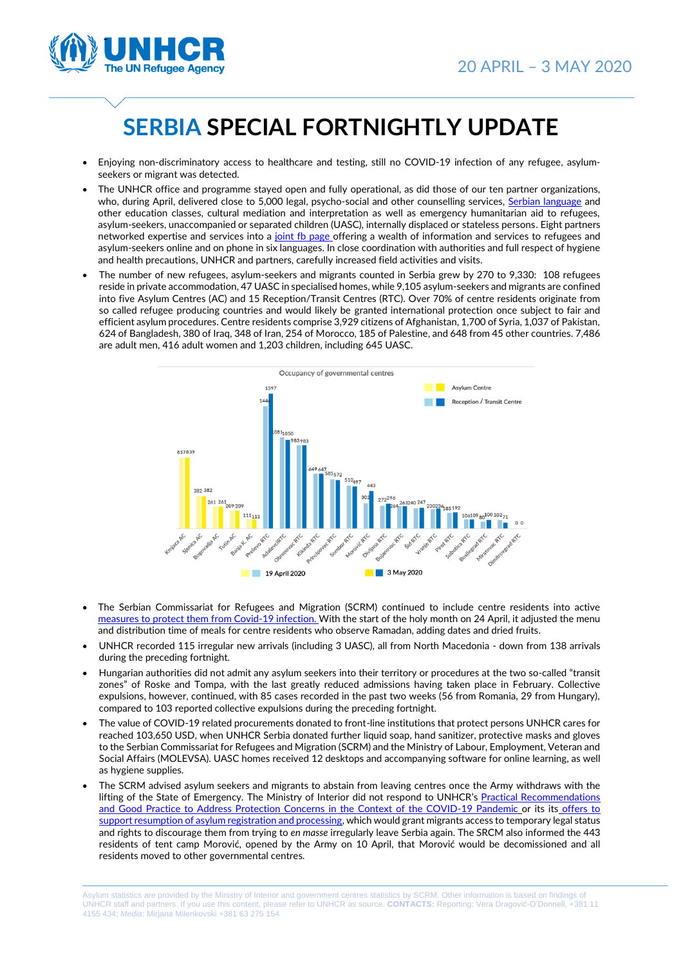

## **SERBIA SPECIAL FORTNIGHTLY UPDATE**

- Enjoying non-discriminatory access to healthcare and testing, still no COVID-19 infection of any refugee, asylumseekers or migrant was detected.
- The UNHCR office and programme stayed open and fully operational, as did those of our ten partner organizations, who, during April, delivered close to 5,000 legal, psycho-social and other counselling services, [Serbian language](http://nvosigmaplus-learning.org.rs/) and other education classes, cultural mediation and interpretation as well as emergency humanitarian aid to refugees, asylum-seekers, unaccompanied or separated children (UASC), internally displaced or stateless persons. Eight partners networked expertise and services into a [joint fb page](https://www.facebook.com/covid19infoforrefugees/) offering a wealth of information and services to refugees and asylum-seekers online and on phone in six languages. In close coordination with authorities and full respect of hygiene and health precautions, UNHCR and partners, carefully increased field activities and visits.
- The number of new refugees, asylum-seekers and migrants counted in Serbia grew by 270 to 9,330: 108 refugees reside in private accommodation, 47 UASC in specialised homes, while 9,105 asylum-seekers and migrants are confined into five Asylum Centres (AC) and 15 Reception/Transit Centres (RTC). Over 70% of centre residents originate from so called refugee producing countries and would likely be granted international protection once subject to fair and efficient asylum procedures. Centre residents comprise 3,929 citizens of Afghanistan, 1,700 of Syria, 1,037 of Pakistan, 624 of Bangladesh, 380 of Iraq, 348 of Iran, 254 of Morocco, 185 of Palestine, and 648 from 45 other countries. 7,486 are adult men, 416 adult women and 1,203 children, including 645 UASC.



- The Serbian Commissariat for Refugees and Migration (SCRM) continued to include centre residents into active [measures to protect them from](https://www.france24.com/en/video/20200427-serbian-refugee-camp-takes-measures-to-contain-covid-19-spread) Covid-19 infection. With the start of the holy month on 24 April, it adjusted the menu and distribution time of meals for centre residents who observe Ramadan, adding dates and dried fruits.
- UNHCR recorded 115 irregular new arrivals (including 3 UASC), all from North Macedonia down from 138 arrivals during the preceding fortnight.
- Hungarian authorities did not admit any asylum seekers into their territory or procedures at the two so-called "transit zones" of Roske and Tompa, with the last greatly reduced admissions having taken place in February. Collective expulsions, however, continued, with 85 cases recorded in the past two weeks (56 from Romania, 29 from Hungary), compared to 103 reported collective expulsions during the preceding fortnight.
- The value of COVID-19 related procurements donated to front-line institutions that protect persons UNHCR cares for reached 103,650 USD, when UNHCR Serbia donated further liquid soap, hand sanitizer, protective masks and gloves to the Serbian Commissariat for Refugees and Migration (SCRM) and the Ministry of Labour, Employment, Veteran and Social Affairs (MOLEVSA). UASC homes received 12 desktops and accompanying software for online learning, as well as hygiene supplies.
- The SCRM advised asylum seekers and migrants to abstain from leaving centres once the Army withdraws with the lifting of the State of Emergency. The Ministry of Interior did not respond to UNHCR's Practical Recommendations [and Good Practice to Address Protection Concerns](https://eur02.safelinks.protection.outlook.com/?url=http%3A%2F%2Fwww.unhcr.rs%2Fmedia%2Fdocs%2F2020%2F04%2FPractical_Recommendations_and_Good_Practice_to_Address_Protection_Concerns_in_the_COVID-19_Context-April_2020.pdf&data=02%7C01%7CDRAGOVIC%40unhcr.org%7C9b3a0764f0ce48e0322208d7eb4b911d%7Ce5c37981666441348a0c6543d2af80be%7C0%7C0%7C637236582090537075&sdata=9a1QiReefTGXc0zfdMrKiFBSg%2Bip%2Bai4gbfSQZGqVaM%3D&reserved=0) in the Context of the COVID-19 Pandemic or its its [offers to](http://www.unhcr.rs/en/dokumenti/saopstenja-za-medije/korona-virus-unhcr-nudi-prakticne-preporuke-evropskim-zemljama.html) [support resumption of asylum registration and processing,](http://www.unhcr.rs/en/dokumenti/saopstenja-za-medije/korona-virus-unhcr-nudi-prakticne-preporuke-evropskim-zemljama.html) which would grant migrants access to temporary legal status and rights to discourage them from trying to *en masse* irregularly leave Serbia again. The SRCM also informed the 443 residents of tent camp Morović, opened by the Army on 10 April, that Morović would be decomissioned and all residents moved to other governmental centres.

Asylum statistics are provided by the Ministry of Interior and government centres statistics by SCRM. Other information is based on findings of UNHCR staff and partners. If you use this content, please refer to UNHCR as source. **CONTACTS:** Reporting: Vera Dragović-O'Donnell, +381 11 4155 434; *Media:* Mirjana Milenkovski +381 63 275 154